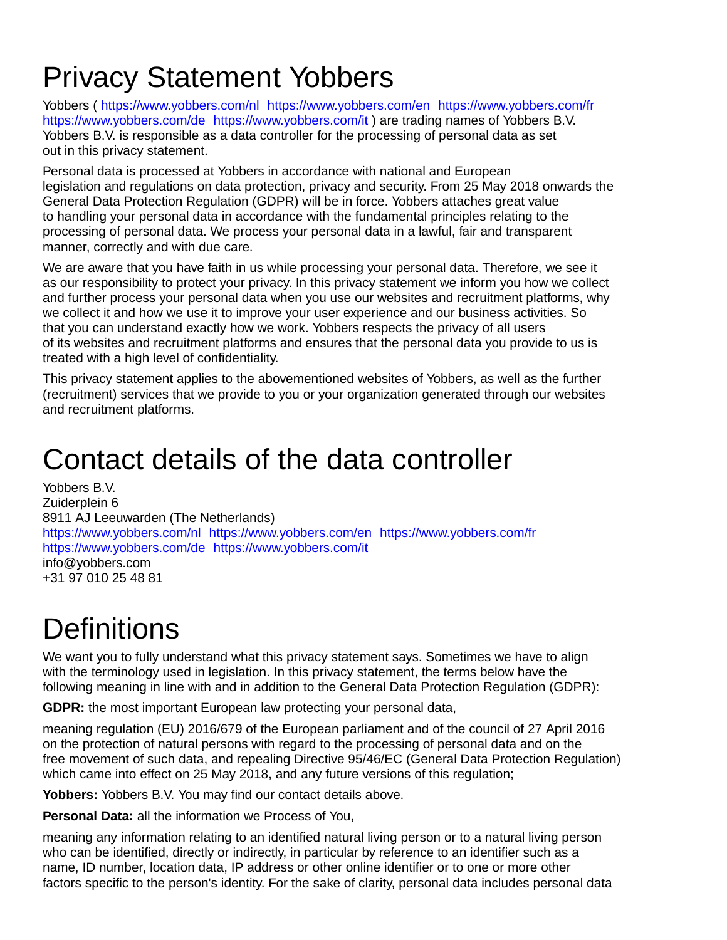## Privacy Statement Yobbers

Yobbers (<https://www.yobbers.com/nl> <https://www.yobbers.com/en> <https://www.yobbers.com/fr> <https://www.yobbers.com/de> <https://www.yobbers.com/it> ) are trading names of Yobbers B.V. Yobbers B.V. is responsible as a data controller for the processing of personal data as set out in this privacy statement.

Personal data is processed at Yobbers in accordance with national and European legislation and regulations on data protection, privacy and security. From 25 May 2018 onwards the General Data Protection Regulation (GDPR) will be in force. Yobbers attaches great value to handling your personal data in accordance with the fundamental principles relating to the processing of personal data. We process your personal data in a lawful, fair and transparent manner, correctly and with due care.

We are aware that you have faith in us while processing your personal data. Therefore, we see it as our responsibility to protect your privacy. In this privacy statement we inform you how we collect and further process your personal data when you use our websites and recruitment platforms, why we collect it and how we use it to improve your user experience and our business activities. So that you can understand exactly how we work. Yobbers respects the privacy of all users of its websites and recruitment platforms and ensures that the personal data you provide to us is treated with a high level of confidentiality.

This privacy statement applies to the abovementioned websites of Yobbers, as well as the further (recruitment) services that we provide to you or your organization generated through our websites and recruitment platforms.

### Contact details of the data controller

Yobbers B.V. Zuiderplein 6 8911 AJ Leeuwarden (The Netherlands) <https://www.yobbers.com/nl> <https://www.yobbers.com/en> <https://www.yobbers.com/fr> <https://www.yobbers.com/de> <https://www.yobbers.com/it> info@yobbers.com +31 97 010 25 48 81

# **Definitions**

We want you to fully understand what this privacy statement says. Sometimes we have to align with the terminology used in legislation. In this privacy statement, the terms below have the following meaning in line with and in addition to the General Data Protection Regulation (GDPR):

**GDPR:** the most important European law protecting your personal data,

meaning regulation (EU) 2016/679 of the European parliament and of the council of 27 April 2016 on the protection of natural persons with regard to the processing of personal data and on the free movement of such data, and repealing Directive 95/46/EC (General Data Protection Regulation) which came into effect on 25 May 2018, and any future versions of this regulation;

**Yobbers:** Yobbers B.V. You may find our contact details above.

**Personal Data:** all the information we Process of You,

meaning any information relating to an identified natural living person or to a natural living person who can be identified, directly or indirectly, in particular by reference to an identifier such as a name, ID number, location data, IP address or other online identifier or to one or more other factors specific to the person's identity. For the sake of clarity, personal data includes personal data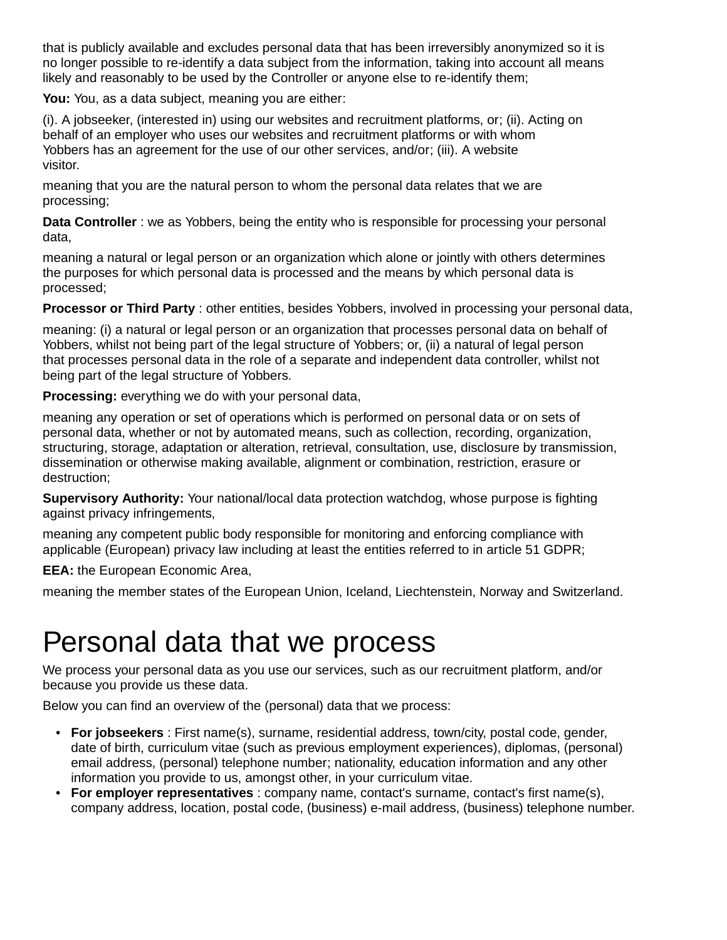that is publicly available and excludes personal data that has been irreversibly anonymized so it is no longer possible to re-identify a data subject from the information, taking into account all means likely and reasonably to be used by the Controller or anyone else to re-identify them;

**You:** You, as a data subject, meaning you are either:

(i). A jobseeker, (interested in) using our websites and recruitment platforms, or; (ii). Acting on behalf of an employer who uses our websites and recruitment platforms or with whom Yobbers has an agreement for the use of our other services, and/or; (iii). A website visitor.

meaning that you are the natural person to whom the personal data relates that we are processing;

**Data Controller** : we as Yobbers, being the entity who is responsible for processing your personal data,

meaning a natural or legal person or an organization which alone or jointly with others determines the purposes for which personal data is processed and the means by which personal data is processed;

**Processor or Third Party** : other entities, besides Yobbers, involved in processing your personal data,

meaning: (i) a natural or legal person or an organization that processes personal data on behalf of Yobbers, whilst not being part of the legal structure of Yobbers; or, (ii) a natural of legal person that processes personal data in the role of a separate and independent data controller, whilst not being part of the legal structure of Yobbers.

**Processing:** everything we do with your personal data,

meaning any operation or set of operations which is performed on personal data or on sets of personal data, whether or not by automated means, such as collection, recording, organization, structuring, storage, adaptation or alteration, retrieval, consultation, use, disclosure by transmission, dissemination or otherwise making available, alignment or combination, restriction, erasure or destruction;

**Supervisory Authority:** Your national/local data protection watchdog, whose purpose is fighting against privacy infringements,

meaning any competent public body responsible for monitoring and enforcing compliance with applicable (European) privacy law including at least the entities referred to in article 51 GDPR;

**EEA:** the European Economic Area,

meaning the member states of the European Union, Iceland, Liechtenstein, Norway and Switzerland.

### Personal data that we process

We process your personal data as you use our services, such as our recruitment platform, and/or because you provide us these data.

Below you can find an overview of the (personal) data that we process:

- **For jobseekers** : First name(s), surname, residential address, town/city, postal code, gender, date of birth, curriculum vitae (such as previous employment experiences), diplomas, (personal) email address, (personal) telephone number; nationality, education information and any other information you provide to us, amongst other, in your curriculum vitae.
- **For employer representatives** : company name, contact's surname, contact's first name(s), company address, location, postal code, (business) e-mail address, (business) telephone number.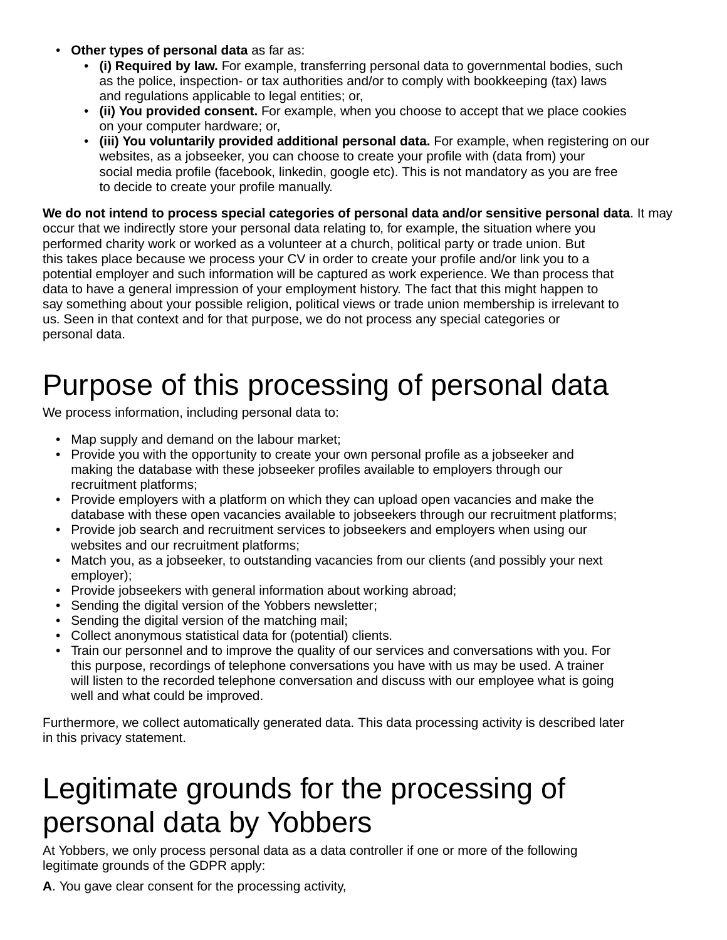- **Other types of personal data** as far as:
	- **(i) Required by law.** For example, transferring personal data to governmental bodies, such as the police, inspection- or tax authorities and/or to comply with bookkeeping (tax) laws and regulations applicable to legal entities; or,
	- **(ii) You provided consent.** For example, when you choose to accept that we place cookies on your computer hardware; or,
	- **(iii) You voluntarily provided additional personal data.** For example, when registering on our websites, as a jobseeker, you can choose to create your profile with (data from) your social media profile (facebook, linkedin, google etc). This is not mandatory as you are free to decide to create your profile manually.

**We do not intend to process special categories of personal data and/or sensitive personal data**. It may occur that we indirectly store your personal data relating to, for example, the situation where you performed charity work or worked as a volunteer at a church, political party or trade union. But this takes place because we process your CV in order to create your profile and/or link you to a potential employer and such information will be captured as work experience. We than process that data to have a general impression of your employment history. The fact that this might happen to say something about your possible religion, political views or trade union membership is irrelevant to us. Seen in that context and for that purpose, we do not process any special categories or personal data.

### Purpose of this processing of personal data

We process information, including personal data to:

- Map supply and demand on the labour market:
- Provide you with the opportunity to create your own personal profile as a jobseeker and making the database with these jobseeker profiles available to employers through our recruitment platforms;
- Provide employers with a platform on which they can upload open vacancies and make the database with these open vacancies available to jobseekers through our recruitment platforms;
- Provide job search and recruitment services to jobseekers and employers when using our websites and our recruitment platforms;
- Match you, as a jobseeker, to outstanding vacancies from our clients (and possibly your next employer);
- Provide jobseekers with general information about working abroad;
- Sending the digital version of the Yobbers newsletter;
- Sending the digital version of the matching mail;
- Collect anonymous statistical data for (potential) clients.
- Train our personnel and to improve the quality of our services and conversations with you. For this purpose, recordings of telephone conversations you have with us may be used. A trainer will listen to the recorded telephone conversation and discuss with our employee what is going well and what could be improved.

Furthermore, we collect automatically generated data. This data processing activity is described later in this privacy statement.

### Legitimate grounds for the processing of personal data by Yobbers

At Yobbers, we only process personal data as a data controller if one or more of the following legitimate grounds of the GDPR apply:

**A**. You gave clear consent for the processing activity,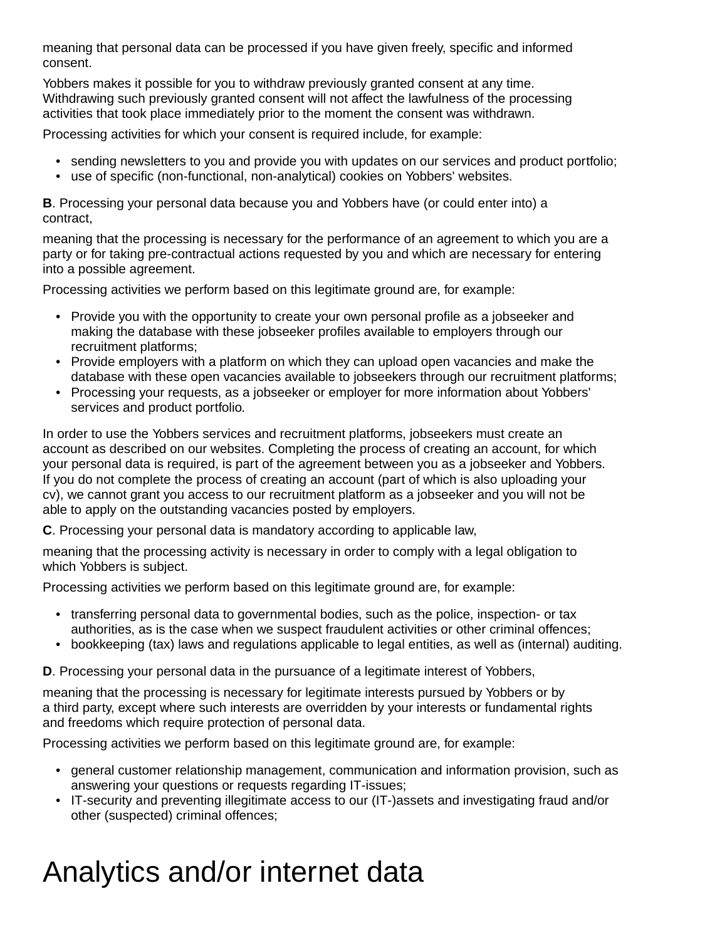meaning that personal data can be processed if you have given freely, specific and informed consent.

Yobbers makes it possible for you to withdraw previously granted consent at any time. Withdrawing such previously granted consent will not affect the lawfulness of the processing activities that took place immediately prior to the moment the consent was withdrawn.

Processing activities for which your consent is required include, for example:

- sending newsletters to you and provide you with updates on our services and product portfolio;
- use of specific (non-functional, non-analytical) cookies on Yobbers' websites.

**B**. Processing your personal data because you and Yobbers have (or could enter into) a contract,

meaning that the processing is necessary for the performance of an agreement to which you are a party or for taking pre-contractual actions requested by you and which are necessary for entering into a possible agreement.

Processing activities we perform based on this legitimate ground are, for example:

- Provide you with the opportunity to create your own personal profile as a jobseeker and making the database with these jobseeker profiles available to employers through our recruitment platforms;
- Provide employers with a platform on which they can upload open vacancies and make the database with these open vacancies available to jobseekers through our recruitment platforms;
- Processing your requests, as a jobseeker or employer for more information about Yobbers' services and product portfolio.

In order to use the Yobbers services and recruitment platforms, jobseekers must create an account as described on our websites. Completing the process of creating an account, for which your personal data is required, is part of the agreement between you as a jobseeker and Yobbers. If you do not complete the process of creating an account (part of which is also uploading your cv), we cannot grant you access to our recruitment platform as a jobseeker and you will not be able to apply on the outstanding vacancies posted by employers.

**C**. Processing your personal data is mandatory according to applicable law,

meaning that the processing activity is necessary in order to comply with a legal obligation to which Yobbers is subject.

Processing activities we perform based on this legitimate ground are, for example:

- transferring personal data to governmental bodies, such as the police, inspection- or tax authorities, as is the case when we suspect fraudulent activities or other criminal offences;
- bookkeeping (tax) laws and regulations applicable to legal entities, as well as (internal) auditing.

**D**. Processing your personal data in the pursuance of a legitimate interest of Yobbers,

meaning that the processing is necessary for legitimate interests pursued by Yobbers or by a third party, except where such interests are overridden by your interests or fundamental rights and freedoms which require protection of personal data.

Processing activities we perform based on this legitimate ground are, for example:

- general customer relationship management, communication and information provision, such as answering your questions or requests regarding IT-issues;
- IT-security and preventing illegitimate access to our (IT-)assets and investigating fraud and/or other (suspected) criminal offences;

## Analytics and/or internet data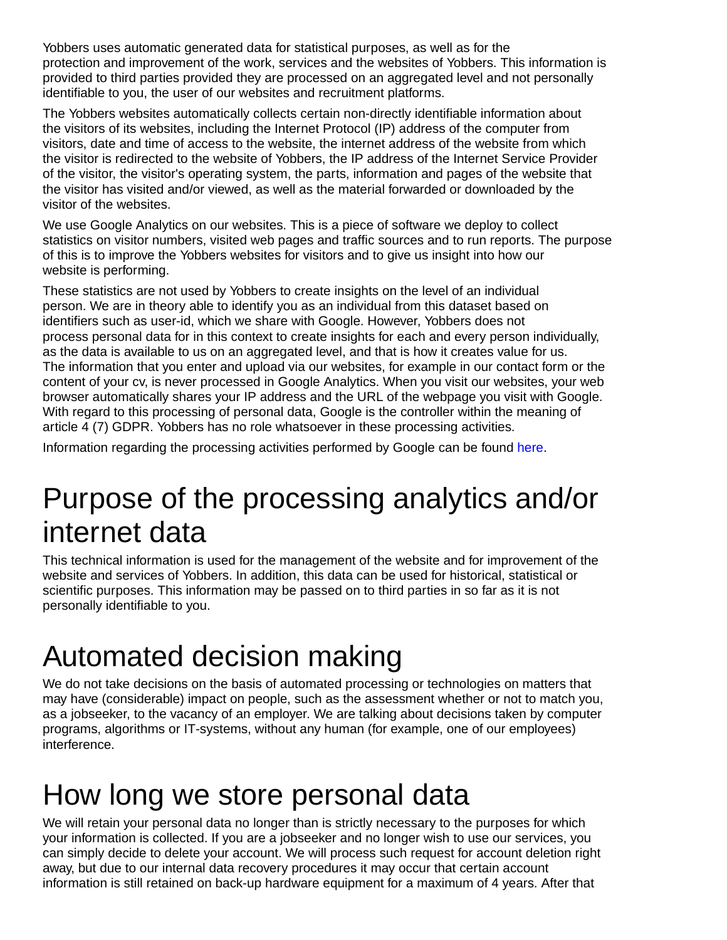Yobbers uses automatic generated data for statistical purposes, as well as for the protection and improvement of the work, services and the websites of Yobbers. This information is provided to third parties provided they are processed on an aggregated level and not personally identifiable to you, the user of our websites and recruitment platforms.

The Yobbers websites automatically collects certain non-directly identifiable information about the visitors of its websites, including the Internet Protocol (IP) address of the computer from visitors, date and time of access to the website, the internet address of the website from which the visitor is redirected to the website of Yobbers, the IP address of the Internet Service Provider of the visitor, the visitor's operating system, the parts, information and pages of the website that the visitor has visited and/or viewed, as well as the material forwarded or downloaded by the visitor of the websites.

We use Google Analytics on our websites. This is a piece of software we deploy to collect statistics on visitor numbers, visited web pages and traffic sources and to run reports. The purpose of this is to improve the Yobbers websites for visitors and to give us insight into how our website is performing.

These statistics are not used by Yobbers to create insights on the level of an individual person. We are in theory able to identify you as an individual from this dataset based on identifiers such as user-id, which we share with Google. However, Yobbers does not process personal data for in this context to create insights for each and every person individually, as the data is available to us on an aggregated level, and that is how it creates value for us. The information that you enter and upload via our websites, for example in our contact form or the content of your cv, is never processed in Google Analytics. When you visit our websites, your web browser automatically shares your IP address and the URL of the webpage you visit with Google. With regard to this processing of personal data, Google is the controller within the meaning of article 4 (7) GDPR. Yobbers has no role whatsoever in these processing activities.

Information regarding the processing activities performed by Google can be found [here.](https://policies.google.com/technologies/partner-sites)

### Purpose of the processing analytics and/or internet data

This technical information is used for the management of the website and for improvement of the website and services of Yobbers. In addition, this data can be used for historical, statistical or scientific purposes. This information may be passed on to third parties in so far as it is not personally identifiable to you.

## Automated decision making

We do not take decisions on the basis of automated processing or technologies on matters that may have (considerable) impact on people, such as the assessment whether or not to match you, as a jobseeker, to the vacancy of an employer. We are talking about decisions taken by computer programs, algorithms or IT-systems, without any human (for example, one of our employees) interference.

### How long we store personal data

We will retain your personal data no longer than is strictly necessary to the purposes for which your information is collected. If you are a jobseeker and no longer wish to use our services, you can simply decide to delete your account. We will process such request for account deletion right away, but due to our internal data recovery procedures it may occur that certain account information is still retained on back-up hardware equipment for a maximum of 4 years. After that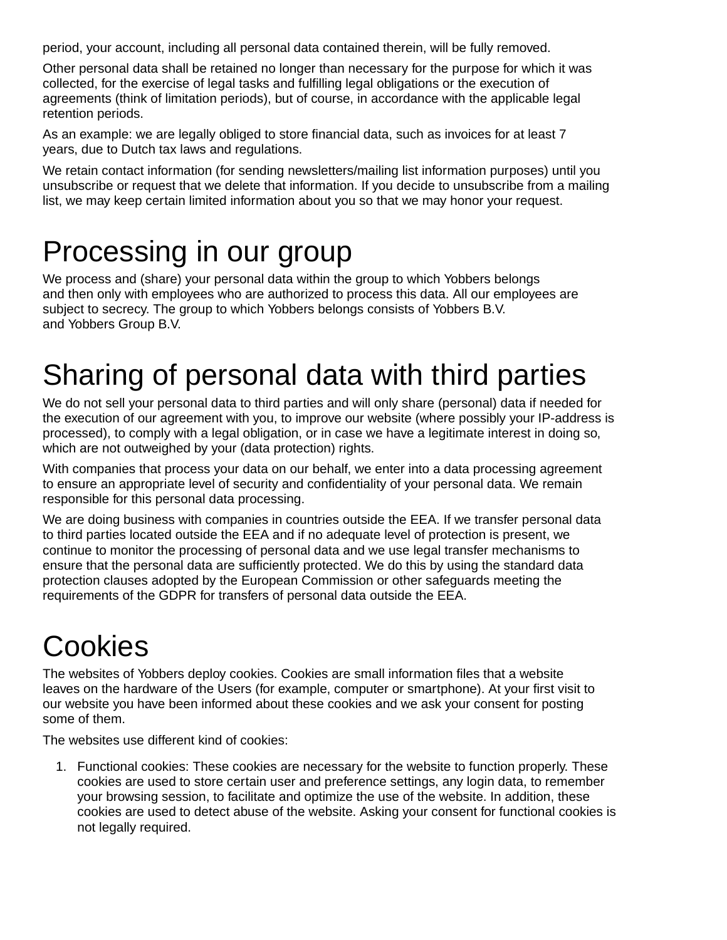period, your account, including all personal data contained therein, will be fully removed.

Other personal data shall be retained no longer than necessary for the purpose for which it was collected, for the exercise of legal tasks and fulfilling legal obligations or the execution of agreements (think of limitation periods), but of course, in accordance with the applicable legal retention periods.

As an example: we are legally obliged to store financial data, such as invoices for at least 7 years, due to Dutch tax laws and regulations.

We retain contact information (for sending newsletters/mailing list information purposes) until you unsubscribe or request that we delete that information. If you decide to unsubscribe from a mailing list, we may keep certain limited information about you so that we may honor your request.

### Processing in our group

We process and (share) your personal data within the group to which Yobbers belongs and then only with employees who are authorized to process this data. All our employees are subject to secrecy. The group to which Yobbers belongs consists of Yobbers B.V. and Yobbers Group B.V.

## Sharing of personal data with third parties

We do not sell your personal data to third parties and will only share (personal) data if needed for the execution of our agreement with you, to improve our website (where possibly your IP-address is processed), to comply with a legal obligation, or in case we have a legitimate interest in doing so, which are not outweighed by your (data protection) rights.

With companies that process your data on our behalf, we enter into a data processing agreement to ensure an appropriate level of security and confidentiality of your personal data. We remain responsible for this personal data processing.

We are doing business with companies in countries outside the EEA. If we transfer personal data to third parties located outside the EEA and if no adequate level of protection is present, we continue to monitor the processing of personal data and we use legal transfer mechanisms to ensure that the personal data are sufficiently protected. We do this by using the standard data protection clauses adopted by the European Commission or other safeguards meeting the requirements of the GDPR for transfers of personal data outside the EEA.

# Cookies

The websites of Yobbers deploy cookies. Cookies are small information files that a website leaves on the hardware of the Users (for example, computer or smartphone). At your first visit to our website you have been informed about these cookies and we ask your consent for posting some of them.

The websites use different kind of cookies:

1. Functional cookies: These cookies are necessary for the website to function properly. These cookies are used to store certain user and preference settings, any login data, to remember your browsing session, to facilitate and optimize the use of the website. In addition, these cookies are used to detect abuse of the website. Asking your consent for functional cookies is not legally required.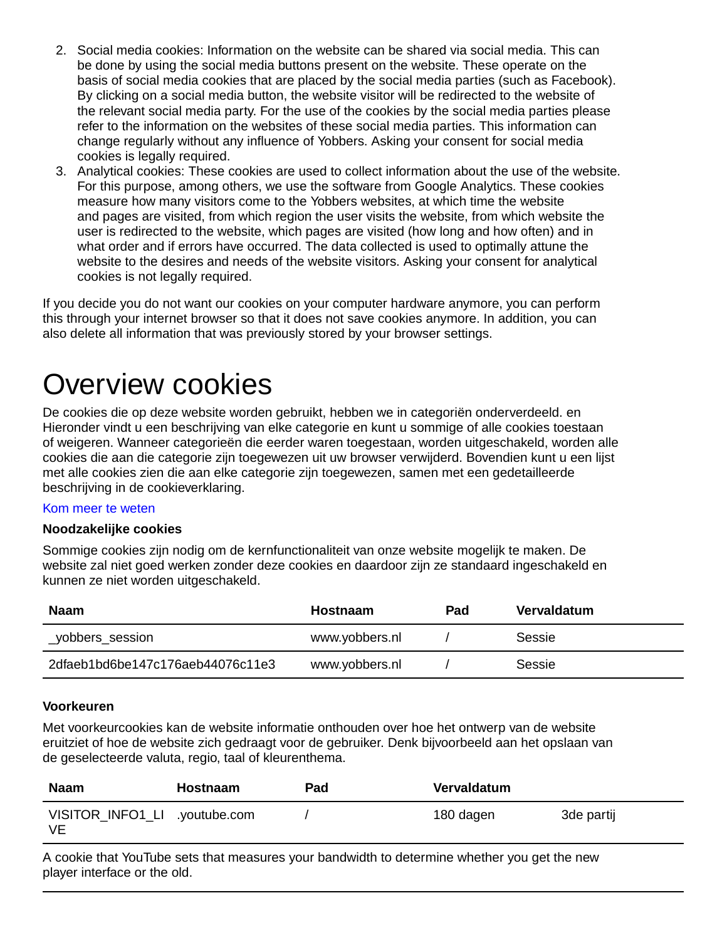- 2. Social media cookies: Information on the website can be shared via social media. This can be done by using the social media buttons present on the website. These operate on the basis of social media cookies that are placed by the social media parties (such as Facebook). By clicking on a social media button, the website visitor will be redirected to the website of the relevant social media party. For the use of the cookies by the social media parties please refer to the information on the websites of these social media parties. This information can change regularly without any influence of Yobbers. Asking your consent for social media cookies is legally required.
- 3. Analytical cookies: These cookies are used to collect information about the use of the website. For this purpose, among others, we use the software from Google Analytics. These cookies measure how many visitors come to the Yobbers websites, at which time the website and pages are visited, from which region the user visits the website, from which website the user is redirected to the website, which pages are visited (how long and how often) and in what order and if errors have occurred. The data collected is used to optimally attune the website to the desires and needs of the website visitors. Asking your consent for analytical cookies is not legally required.

If you decide you do not want our cookies on your computer hardware anymore, you can perform this through your internet browser so that it does not save cookies anymore. In addition, you can also delete all information that was previously stored by your browser settings.

### Overview cookies

De cookies die op deze website worden gebruikt, hebben we in categoriën onderverdeeld. en Hieronder vindt u een beschrijving van elke categorie en kunt u sommige of alle cookies toestaan of weigeren. Wanneer categorieën die eerder waren toegestaan, worden uitgeschakeld, worden alle cookies die aan die categorie zijn toegewezen uit uw browser verwijderd. Bovendien kunt u een lijst met alle cookies zien die aan elke categorie zijn toegewezen, samen met een gedetailleerde beschrijving in de cookieverklaring.

#### [Kom meer te weten](https://www.yobbers.nl/privacybeleid)

#### **Noodzakelijke cookies**

Sommige cookies zijn nodig om de kernfunctionaliteit van onze website mogelijk te maken. De website zal niet goed werken zonder deze cookies en daardoor zijn ze standaard ingeschakeld en kunnen ze niet worden uitgeschakeld.

| Naam                             | Hostnaam       | Pad | Vervaldatum |
|----------------------------------|----------------|-----|-------------|
| _yobbers_session                 | www.yobbers.nl |     | Sessie      |
| 2dfaeb1bd6be147c176aeb44076c11e3 | www.yobbers.nl |     | Sessie      |

#### **Voorkeuren**

Met voorkeurcookies kan de website informatie onthouden over hoe het ontwerp van de website eruitziet of hoe de website zich gedraagt voor de gebruiker. Denk bijvoorbeeld aan het opslaan van de geselecteerde valuta, regio, taal of kleurenthema.

| <b>Naam</b>                         | <b>Hostnaam</b> | Pad | Vervaldatum |            |
|-------------------------------------|-----------------|-----|-------------|------------|
| VISITOR_INFO1_LI .youtube.com<br>VE |                 |     | 180 dagen   | 3de partij |

A cookie that YouTube sets that measures your bandwidth to determine whether you get the new player interface or the old.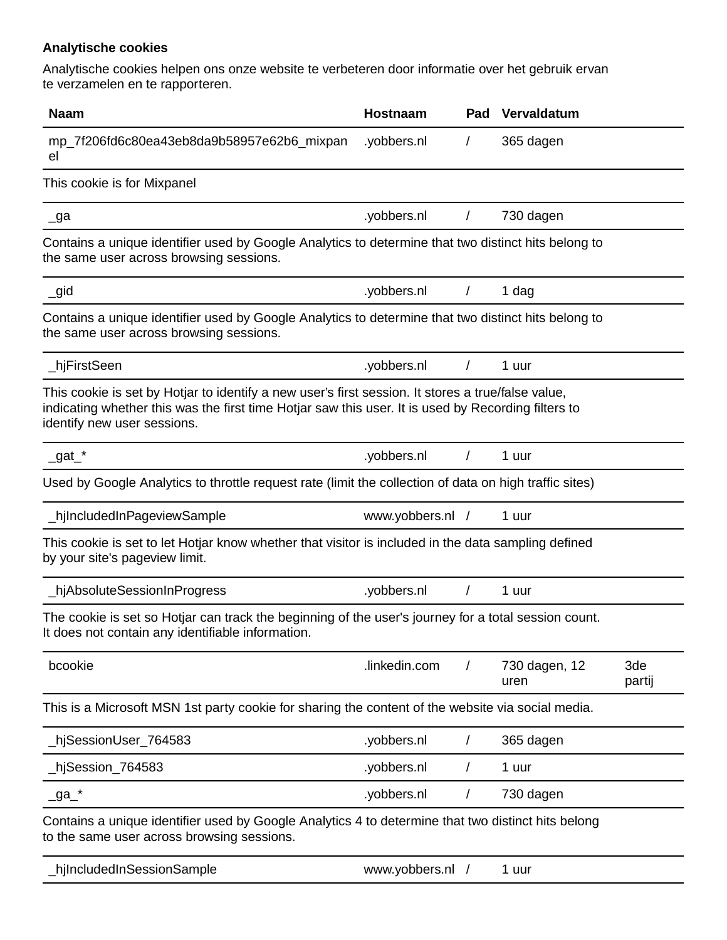### **Analytische cookies**

Analytische cookies helpen ons onze website te verbeteren door informatie over het gebruik ervan te verzamelen en te rapporteren.

| <b>Naam</b>                                                                                                                                                                                                                              | Hostnaam         | Pad      | Vervaldatum           |               |
|------------------------------------------------------------------------------------------------------------------------------------------------------------------------------------------------------------------------------------------|------------------|----------|-----------------------|---------------|
| mp_7f206fd6c80ea43eb8da9b58957e62b6_mixpan<br>el                                                                                                                                                                                         | .yobbers.nl      | $\prime$ | 365 dagen             |               |
| This cookie is for Mixpanel                                                                                                                                                                                                              |                  |          |                       |               |
| $\lrcorner$ ga                                                                                                                                                                                                                           | .yobbers.nl      | $\prime$ | 730 dagen             |               |
| Contains a unique identifier used by Google Analytics to determine that two distinct hits belong to<br>the same user across browsing sessions.                                                                                           |                  |          |                       |               |
| $\_gid$                                                                                                                                                                                                                                  | .yobbers.nl      |          | 1 dag                 |               |
| Contains a unique identifier used by Google Analytics to determine that two distinct hits belong to<br>the same user across browsing sessions.                                                                                           |                  |          |                       |               |
| _hjFirstSeen                                                                                                                                                                                                                             | .yobbers.nl      |          | 1 uur                 |               |
| This cookie is set by Hotjar to identify a new user's first session. It stores a true/false value,<br>indicating whether this was the first time Hotjar saw this user. It is used by Recording filters to<br>identify new user sessions. |                  |          |                       |               |
| $\_gat\_$ *                                                                                                                                                                                                                              | .yobbers.nl      | $\prime$ | 1 uur                 |               |
| Used by Google Analytics to throttle request rate (limit the collection of data on high traffic sites)                                                                                                                                   |                  |          |                       |               |
| _hjIncludedInPageviewSample                                                                                                                                                                                                              | www.yobbers.nl / |          | 1 uur                 |               |
| This cookie is set to let Hotjar know whether that visitor is included in the data sampling defined<br>by your site's pageview limit.                                                                                                    |                  |          |                       |               |
| _hjAbsoluteSessionInProgress                                                                                                                                                                                                             | .yobbers.nl      |          | 1 uur                 |               |
| The cookie is set so Hotjar can track the beginning of the user's journey for a total session count.<br>It does not contain any identifiable information.                                                                                |                  |          |                       |               |
| bcookie                                                                                                                                                                                                                                  | .linkedin.com    |          | 730 dagen, 12<br>uren | 3de<br>partij |
| This is a Microsoft MSN 1st party cookie for sharing the content of the website via social media.                                                                                                                                        |                  |          |                       |               |
| hjSessionUser_764583                                                                                                                                                                                                                     | .yobbers.nl      | $\prime$ | 365 dagen             |               |
| hjSession_764583_                                                                                                                                                                                                                        | .yobbers.nl      |          | 1 uur                 |               |
| $\_ga\_^*$                                                                                                                                                                                                                               | .yobbers.nl      | $\prime$ | 730 dagen             |               |
| Contains a unique identifier used by Google Analytics 4 to determine that two distinct hits belong<br>to the same user across browsing sessions.                                                                                         |                  |          |                       |               |
| hjIncludedInSessionSample                                                                                                                                                                                                                | www.yobbers.nl / |          | 1 uur                 |               |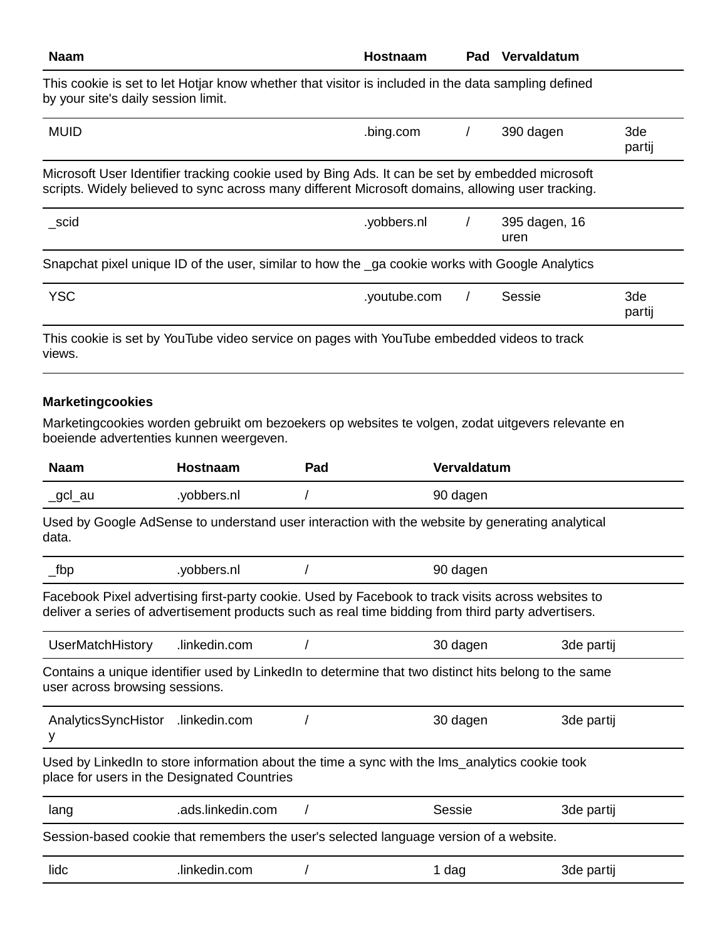| Hostnaam     | Pad | Vervaldatum           |                                                                                                                                                                                                                                                                                                                                                                                                                                                                                                             |
|--------------|-----|-----------------------|-------------------------------------------------------------------------------------------------------------------------------------------------------------------------------------------------------------------------------------------------------------------------------------------------------------------------------------------------------------------------------------------------------------------------------------------------------------------------------------------------------------|
|              |     |                       |                                                                                                                                                                                                                                                                                                                                                                                                                                                                                                             |
| .bing.com    |     | 390 dagen             | 3de<br>partij                                                                                                                                                                                                                                                                                                                                                                                                                                                                                               |
|              |     |                       |                                                                                                                                                                                                                                                                                                                                                                                                                                                                                                             |
| .yobbers.nl  |     | 395 dagen, 16<br>uren |                                                                                                                                                                                                                                                                                                                                                                                                                                                                                                             |
|              |     |                       |                                                                                                                                                                                                                                                                                                                                                                                                                                                                                                             |
| .youtube.com |     | Sessie                | 3de<br>partij                                                                                                                                                                                                                                                                                                                                                                                                                                                                                               |
|              |     |                       |                                                                                                                                                                                                                                                                                                                                                                                                                                                                                                             |
|              |     |                       | This cookie is set to let Hotjar know whether that visitor is included in the data sampling defined<br>Microsoft User Identifier tracking cookie used by Bing Ads. It can be set by embedded microsoft<br>scripts. Widely believed to sync across many different Microsoft domains, allowing user tracking.<br>Snapchat pixel unique ID of the user, similar to how the ga cookie works with Google Analytics<br>This cookie is set by YouTube video service on pages with YouTube embedded videos to track |

### **Marketingcookies**

Marketingcookies worden gebruikt om bezoekers op websites te volgen, zodat uitgevers relevante en boeiende advertenties kunnen weergeven.

| <b>Naam</b>                                                                            | Hostnaam                                    | Pad | Vervaldatum                                                                                                                                                                                              |            |
|----------------------------------------------------------------------------------------|---------------------------------------------|-----|----------------------------------------------------------------------------------------------------------------------------------------------------------------------------------------------------------|------------|
| _gcl_au                                                                                | .yobbers.nl                                 |     | 90 dagen                                                                                                                                                                                                 |            |
| data.                                                                                  |                                             |     | Used by Google AdSense to understand user interaction with the website by generating analytical                                                                                                          |            |
| $_t$ fbp                                                                               | .yobbers.nl                                 |     | 90 dagen                                                                                                                                                                                                 |            |
|                                                                                        |                                             |     | Facebook Pixel advertising first-party cookie. Used by Facebook to track visits across websites to<br>deliver a series of advertisement products such as real time bidding from third party advertisers. |            |
| UserMatchHistory                                                                       | .linkedin.com                               |     | 30 dagen                                                                                                                                                                                                 | 3de partij |
| user across browsing sessions.                                                         |                                             |     | Contains a unique identifier used by LinkedIn to determine that two distinct hits belong to the same                                                                                                     |            |
| AnalyticsSyncHistor<br>у                                                               | .linkedin.com                               |     | 30 dagen                                                                                                                                                                                                 | 3de partij |
|                                                                                        | place for users in the Designated Countries |     | Used by LinkedIn to store information about the time a sync with the Ims_analytics cookie took                                                                                                           |            |
| lang                                                                                   | .ads.linkedin.com                           |     | Sessie                                                                                                                                                                                                   | 3de partij |
| Session-based cookie that remembers the user's selected language version of a website. |                                             |     |                                                                                                                                                                                                          |            |
| lidc                                                                                   | .linkedin.com                               |     | 1 dag                                                                                                                                                                                                    | 3de partij |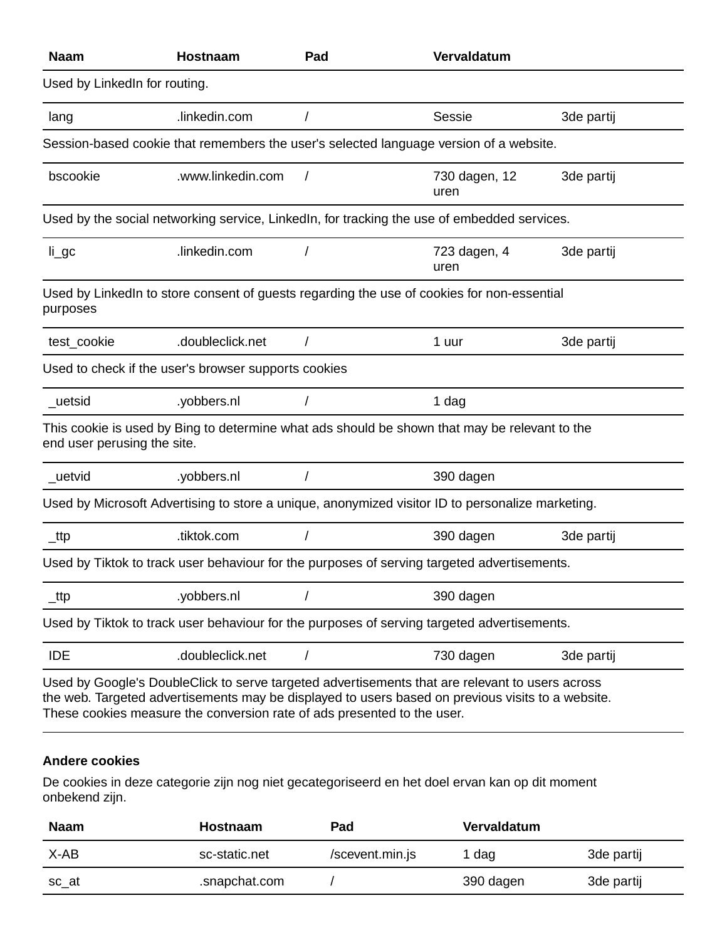| <b>Naam</b>                   | Hostnaam                                             | Pad      | Vervaldatum                                                                                                                                                                                          |            |
|-------------------------------|------------------------------------------------------|----------|------------------------------------------------------------------------------------------------------------------------------------------------------------------------------------------------------|------------|
| Used by LinkedIn for routing. |                                                      |          |                                                                                                                                                                                                      |            |
| lang                          | .linkedin.com                                        |          | Sessie                                                                                                                                                                                               | 3de partij |
|                               |                                                      |          | Session-based cookie that remembers the user's selected language version of a website.                                                                                                               |            |
| bscookie                      | .www.linkedin.com                                    | $\prime$ | 730 dagen, 12<br>uren                                                                                                                                                                                | 3de partij |
|                               |                                                      |          | Used by the social networking service, LinkedIn, for tracking the use of embedded services.                                                                                                          |            |
| $li\_gc$                      | .linkedin.com                                        |          | 723 dagen, 4<br>uren                                                                                                                                                                                 | 3de partij |
| purposes                      |                                                      |          | Used by LinkedIn to store consent of guests regarding the use of cookies for non-essential                                                                                                           |            |
| test_cookie                   | .doubleclick.net                                     |          | 1 uur                                                                                                                                                                                                | 3de partij |
|                               | Used to check if the user's browser supports cookies |          |                                                                                                                                                                                                      |            |
| _uetsid                       | .yobbers.nl                                          |          | 1 dag                                                                                                                                                                                                |            |
| end user perusing the site.   |                                                      |          | This cookie is used by Bing to determine what ads should be shown that may be relevant to the                                                                                                        |            |
| _uetvid                       | .yobbers.nl                                          |          | 390 dagen                                                                                                                                                                                            |            |
|                               |                                                      |          | Used by Microsoft Advertising to store a unique, anonymized visitor ID to personalize marketing.                                                                                                     |            |
| $_t$ ttp                      | .tiktok.com                                          |          | 390 dagen                                                                                                                                                                                            | 3de partij |
|                               |                                                      |          | Used by Tiktok to track user behaviour for the purposes of serving targeted advertisements.                                                                                                          |            |
| _ttp                          | .yobbers.nl                                          |          | 390 dagen                                                                                                                                                                                            |            |
|                               |                                                      |          | Used by Tiktok to track user behaviour for the purposes of serving targeted advertisements.                                                                                                          |            |
| <b>IDE</b>                    | .doubleclick.net                                     |          | 730 dagen                                                                                                                                                                                            | 3de partij |
|                               |                                                      |          | Used by Google's DoubleClick to serve targeted advertisements that are relevant to users across<br>the web. Targeted advertisements may be displayed to users based on previous visits to a website. |            |

These cookies measure the conversion rate of ads presented to the user.

#### **Andere cookies**

De cookies in deze categorie zijn nog niet gecategoriseerd en het doel ervan kan op dit moment onbekend zijn.

| <b>Naam</b> | <b>Hostnaam</b> | Pad             | <b>Vervaldatum</b> |            |
|-------------|-----------------|-----------------|--------------------|------------|
| X-AB        | sc-static.net   | /scevent.min.js | l dag              | 3de partij |
| sc_at       | .snapchat.com   |                 | 390 dagen          | 3de partij |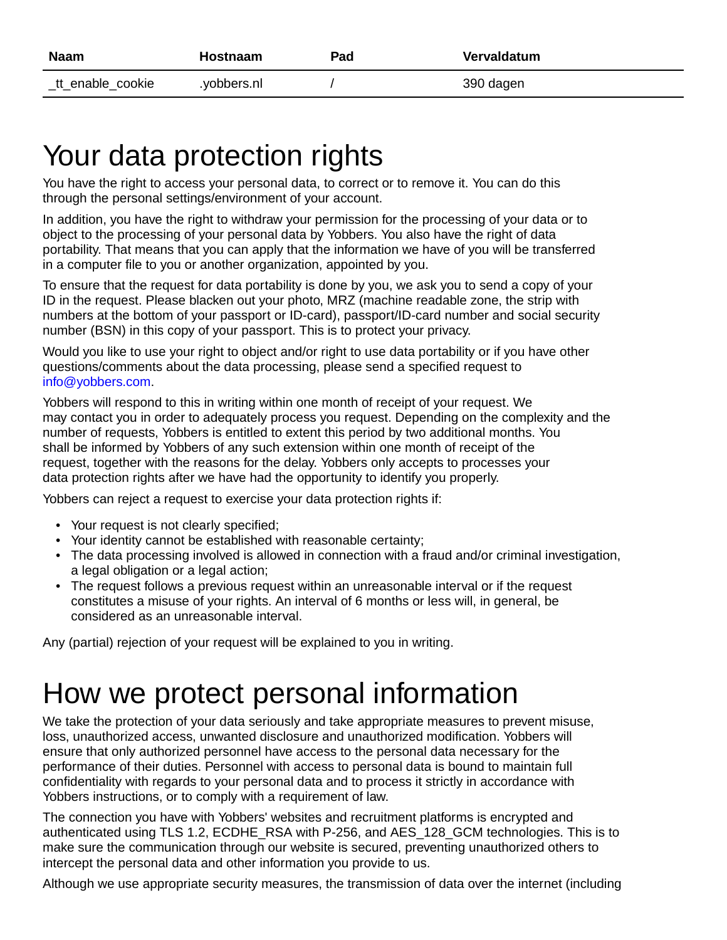| <b>Naam</b>       | <b>Hostnaam</b> | Pad | Vervaldatum |
|-------------------|-----------------|-----|-------------|
| _tt_enable_cookie | .yobbers.nl     |     | 390 dagen   |

## Your data protection rights

You have the right to access your personal data, to correct or to remove it. You can do this through the personal settings/environment of your account.

In addition, you have the right to withdraw your permission for the processing of your data or to object to the processing of your personal data by Yobbers. You also have the right of data portability. That means that you can apply that the information we have of you will be transferred in a computer file to you or another organization, appointed by you.

To ensure that the request for data portability is done by you, we ask you to send a copy of your ID in the request. Please blacken out your photo, MRZ (machine readable zone, the strip with numbers at the bottom of your passport or ID-card), passport/ID-card number and social security number (BSN) in this copy of your passport. This is to protect your privacy.

Would you like to use your right to object and/or right to use data portability or if you have other questions/comments about the data processing, please send a specified request to [info@yobbers.com](mailto:info@yobbers.com).

Yobbers will respond to this in writing within one month of receipt of your request. We may contact you in order to adequately process you request. Depending on the complexity and the number of requests, Yobbers is entitled to extent this period by two additional months. You shall be informed by Yobbers of any such extension within one month of receipt of the request, together with the reasons for the delay. Yobbers only accepts to processes your data protection rights after we have had the opportunity to identify you properly.

Yobbers can reject a request to exercise your data protection rights if:

- Your request is not clearly specified;
- Your identity cannot be established with reasonable certainty;
- The data processing involved is allowed in connection with a fraud and/or criminal investigation, a legal obligation or a legal action;
- The request follows a previous request within an unreasonable interval or if the request constitutes a misuse of your rights. An interval of 6 months or less will, in general, be considered as an unreasonable interval.

Any (partial) rejection of your request will be explained to you in writing.

## How we protect personal information

We take the protection of your data seriously and take appropriate measures to prevent misuse, loss, unauthorized access, unwanted disclosure and unauthorized modification. Yobbers will ensure that only authorized personnel have access to the personal data necessary for the performance of their duties. Personnel with access to personal data is bound to maintain full confidentiality with regards to your personal data and to process it strictly in accordance with Yobbers instructions, or to comply with a requirement of law.

The connection you have with Yobbers' websites and recruitment platforms is encrypted and authenticated using TLS 1.2, ECDHE\_RSA with P-256, and AES 128 GCM technologies. This is to make sure the communication through our website is secured, preventing unauthorized others to intercept the personal data and other information you provide to us.

Although we use appropriate security measures, the transmission of data over the internet (including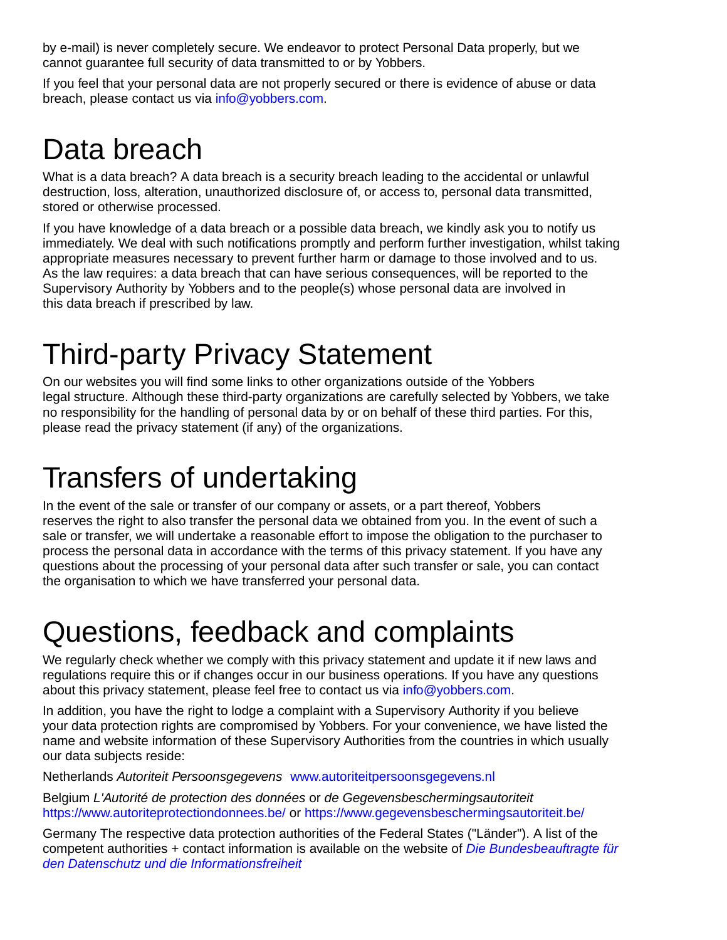by e-mail) is never completely secure. We endeavor to protect Personal Data properly, but we cannot guarantee full security of data transmitted to or by Yobbers.

If you feel that your personal data are not properly secured or there is evidence of abuse or data breach, please contact us via [info@yobbers.com.](mailto:info@yobbers.com)

### Data breach

What is a data breach? A data breach is a security breach leading to the accidental or unlawful destruction, loss, alteration, unauthorized disclosure of, or access to, personal data transmitted, stored or otherwise processed.

If you have knowledge of a data breach or a possible data breach, we kindly ask you to notify us immediately. We deal with such notifications promptly and perform further investigation, whilst taking appropriate measures necessary to prevent further harm or damage to those involved and to us. As the law requires: a data breach that can have serious consequences, will be reported to the Supervisory Authority by Yobbers and to the people(s) whose personal data are involved in this data breach if prescribed by law.

# Third-party Privacy Statement

On our websites you will find some links to other organizations outside of the Yobbers legal structure. Although these third-party organizations are carefully selected by Yobbers, we take no responsibility for the handling of personal data by or on behalf of these third parties. For this, please read the privacy statement (if any) of the organizations.

## Transfers of undertaking

In the event of the sale or transfer of our company or assets, or a part thereof, Yobbers reserves the right to also transfer the personal data we obtained from you. In the event of such a sale or transfer, we will undertake a reasonable effort to impose the obligation to the purchaser to process the personal data in accordance with the terms of this privacy statement. If you have any questions about the processing of your personal data after such transfer or sale, you can contact the organisation to which we have transferred your personal data.

# Questions, feedback and complaints

We regularly check whether we comply with this privacy statement and update it if new laws and regulations require this or if changes occur in our business operations. If you have any questions about this privacy statement, please feel free to contact us via [info@yobbers.com](mailto:info@yobbers.com).

In addition, you have the right to lodge a complaint with a Supervisory Authority if you believe your data protection rights are compromised by Yobbers. For your convenience, we have listed the name and website information of these Supervisory Authorities from the countries in which usually our data subjects reside:

Netherlands Autoriteit Persoonsgegevens [www.autoriteitpersoonsgegevens.nl](http://www.autoriteitpersoonsgegevens.nl/)

Belgium L'Autorité de protection des données or de Gegevensbeschermingsautoriteit <https://www.autoriteprotectiondonnees.be/>or <https://www.gegevensbeschermingsautoriteit.be/>

Germany The respective data protection authorities of the Federal States ("Länder"). A list of the competent authorities  $+$  contact information is available on the website of *[Die Bundesbeauftragte für](https://www.bfdi.bund.de/DE/Infothek/Anschriften_Links/anschriften_links-node.html)* [den Datenschutz und die Informationsfreiheit](https://www.bfdi.bund.de/DE/Infothek/Anschriften_Links/anschriften_links-node.html)